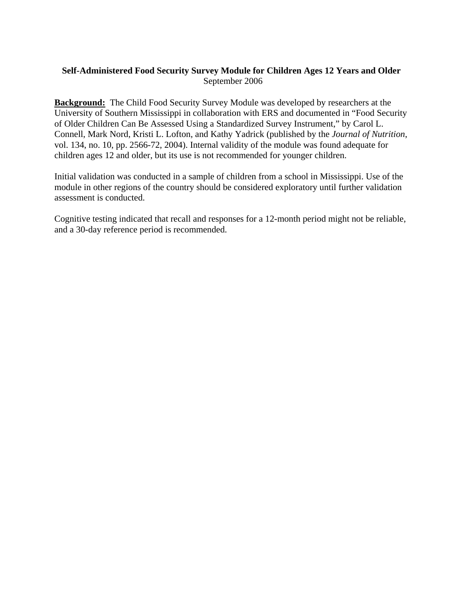## **Self-Administered Food Security Survey Module for Children Ages 12 Years and Older** September 2006

**Background:** The Child Food Security Survey Module was developed by researchers at the University of Southern Mississippi in collaboration with ERS and documented in "Food Security of Older Children Can Be Assessed Using a Standardized Survey Instrument," by Carol L. Connell, Mark Nord, Kristi L. Lofton, and Kathy Yadrick (published by the *Journal of Nutrition*, vol. 134, no. 10, pp. 2566-72, 2004). Internal validity of the module was found adequate for children ages 12 and older, but its use is not recommended for younger children.

Initial validation was conducted in a sample of children from a school in Mississippi. Use of the module in other regions of the country should be considered exploratory until further validation assessment is conducted.

Cognitive testing indicated that recall and responses for a 12-month period might not be reliable, and a 30-day reference period is recommended.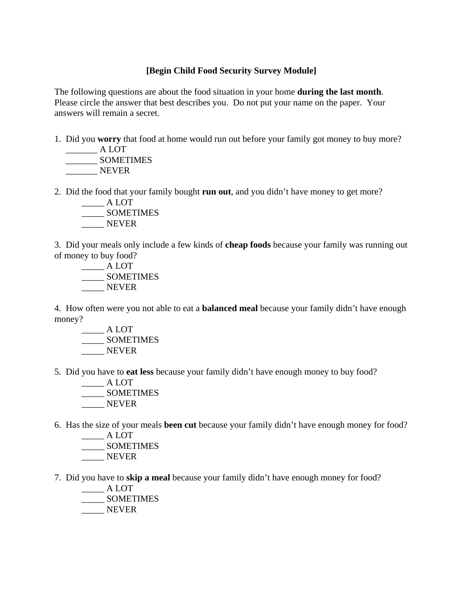## **[Begin Child Food Security Survey Module]**

The following questions are about the food situation in your home **during the last month**. Please circle the answer that best describes you. Do not put your name on the paper. Your answers will remain a secret.

1. Did you **worry** that food at home would run out before your family got money to buy more? \_\_\_\_\_\_\_ A LOT

 \_\_\_\_\_\_\_ SOMETIMES NEVER

2. Did the food that your family bought **run out**, and you didn't have money to get more?

\_\_\_\_\_ A LOT \_\_\_\_\_ SOMETIMES \_\_\_\_\_ NEVER

3. Did your meals only include a few kinds of **cheap foods** because your family was running out of money to buy food?

 \_\_\_\_\_ A LOT \_\_\_\_\_ SOMETIMES NEVER

4. How often were you not able to eat a **balanced meal** because your family didn't have enough money?

 $\frac{\phantom{1}}{\phantom{1}}$  A LOT \_\_\_\_\_ SOMETIMES \_\_\_\_\_ NEVER

- 5. Did you have to **eat less** because your family didn't have enough money to buy food?
	- $\_\_\_\$ A LOT \_\_\_\_\_ SOMETIMES NEVER
- 6. Has the size of your meals **been cut** because your family didn't have enough money for food?

 $\overline{\phantom{a}}$  A LOT \_\_\_\_\_ SOMETIMES NEVER

7. Did you have to **skip a meal** because your family didn't have enough money for food?

 \_\_\_\_\_ A LOT \_\_\_\_\_ SOMETIMES NEVER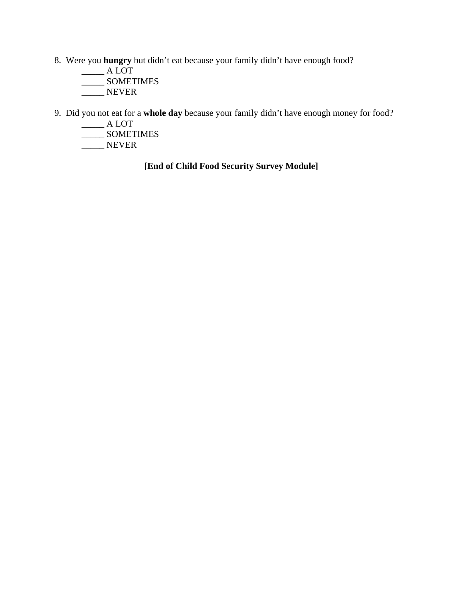- 8. Were you **hungry** but didn't eat because your family didn't have enough food?
	- $\rule{1em}{0.15mm}$  A LOT \_\_\_\_\_ SOMETIMES
	- \_\_\_\_\_ NEVER
- 9. Did you not eat for a **whole day** because your family didn't have enough money for food?
	- \_\_\_\_\_ A LOT
- \_\_\_\_\_ SOMETIMES
- $\frac{1}{2}$  NEVER

**[End of Child Food Security Survey Module]**